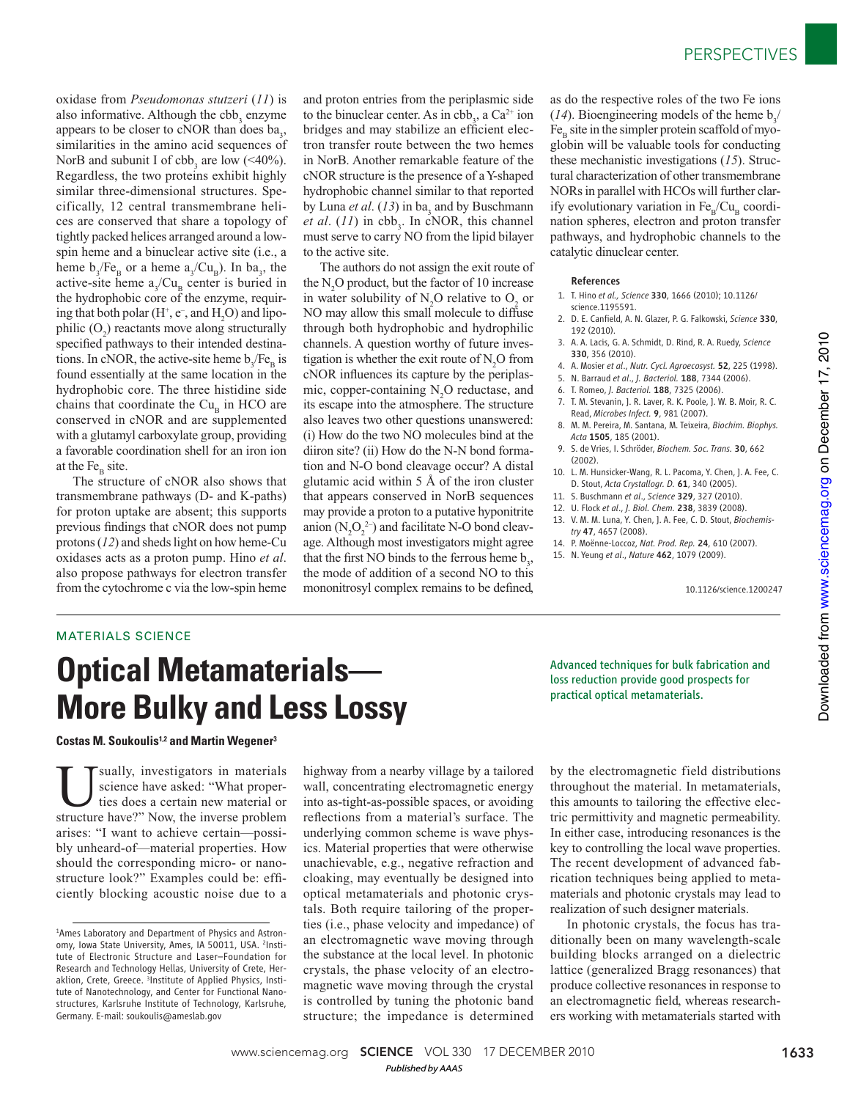oxidase from *Pseudomonas stutzeri* ( *11*) is also informative. Although the  $cbb_3$  enzyme appears to be closer to cNOR than does  $ba_3$ , similarities in the amino acid sequences of NorB and subunit I of  $cbb_3$  are low (<40%). Regardless, the two proteins exhibit highly similar three-dimensional structures. Specifically, 12 central transmembrane helices are conserved that share a topology of tightly packed helices arranged around a lowspin heme and a binuclear active site (i.e., a heme  $b_3$ /Fe<sub>B</sub> or a heme  $a_3$ /Cu<sub>B</sub>). In  $ba_3$ , the active-site heme  $a_3/Cu_B$  center is buried in the hydrophobic core of the enzyme, requiring that both polar  $(H^+, e^-, \text{ and } H_2O)$  and lipophilic  $(O_2)$  reactants move along structurally specified pathways to their intended destinations. In cNOR, the active-site heme  $b_3$ /Fe<sub>B</sub> is found essentially at the same location in the hydrophobic core. The three histidine side chains that coordinate the  $Cu<sub>B</sub>$  in HCO are conserved in cNOR and are supplemented with a glutamyl carboxylate group, providing a favorable coordination shell for an iron ion at the  $Fe<sub>B</sub>$  site.

The structure of cNOR also shows that transmembrane pathways (D- and K-paths) for proton uptake are absent; this supports previous findings that cNOR does not pump protons ( *12*) and sheds light on how heme-Cu oxidases acts as a proton pump. Hino *et al*. also propose pathways for electron transfer from the cytochrome c via the low-spin heme and proton entries from the periplasmic side to the binuclear center. As in  $cbb_3$ , a  $Ca^{2+}$  ion bridges and may stabilize an efficient electron transfer route between the two hemes in NorB. Another remarkable feature of the cNOR structure is the presence of a Y-shaped hydrophobic channel similar to that reported by Luna *et al.* (13) in ba<sub>3</sub> and by Buschmann *et al.* ( $11$ ) in cbb<sub>3</sub>. In cNOR, this channel must serve to carry NO from the lipid bilayer to the active site.

The authors do not assign the exit route of the  $N_2O$  product, but the factor of 10 increase in water solubility of  $N_2O$  relative to  $O_2$  or NO may allow this small molecule to diffuse through both hydrophobic and hydrophilic channels. A question worthy of future investigation is whether the exit route of  $N_2O$  from cNOR influences its capture by the periplasmic, copper-containing  $N_2O$  reductase, and its escape into the atmosphere. The structure also leaves two other questions unanswered: (i) How do the two NO molecules bind at the diiron site? (ii) How do the N-N bond formation and N-O bond cleavage occur? A distal glutamic acid within 5 Å of the iron cluster that appears conserved in NorB sequences may provide a proton to a putative hyponitrite anion  $(N_2O_2^2)$  and facilitate N-O bond cleavage. Although most investigators might agree that the first NO binds to the ferrous heme  $b_3$ , the mode of addition of a second NO to this mononitrosyl complex remains to be defined,

as do the respective roles of the two Fe ions (14). Bioengineering models of the heme  $b_3$ /  $Fe<sub>p</sub>$  site in the simpler protein scaffold of myoglobin will be valuable tools for conducting these mechanistic investigations ( *15*). Structural characterization of other transmembrane NORs in parallel with HCOs will further clarify evolutionary variation in  $Fe<sub>B</sub>/Cu<sub>B</sub>$  coordination spheres, electron and proton transfer pathways, and hydrophobic channels to the catalytic dinuclear center.

## References

- 1. T. Hino *et al., Science* 330, 1666 (2010); 10.1126/ science.1195591.
- 2. D. E. Canfield, A. N. Glazer, P. G. Falkowski, *Science* 330, 192 (2010).
- 3. A. A. Lacis, G. A. Schmidt, D. Rind, R. A. Ruedy, *Science* 330, 356 (2010).
- 4. A. Mosier *et al*., *Nutr. Cycl. Agroecosyst.* 52, 225 (1998).
- 5. N. Barraud *et al*., *J. Bacteriol.* 188, 7344 (2006).
- 6. T. Romeo, *J. Bacteriol.* 188, 7325 (2006).
- 7. T. M. Stevanin, J. R. Laver, R. K. Poole, J. W. B. Moir, R. C. Read, *Microbes Infect.* 9, 981 (2007).
- 8. M. M. Pereira, M. Santana, M. Teixeira, *Biochim. Biophys. Acta* 1505, 185 (2001).
- 9. S. de Vries, I. Schröder, *Biochem. Soc. Trans.* 30, 662 (2002).
- 10. L. M. Hunsicker-Wang, R. L. Pacoma, Y. Chen, J. A. Fee, C. D. Stout, *Acta Crystallogr. D.* 61, 340 (2005).
- 11. S. Buschmann *et al*., *Science* 329, 327 (2010).
- 12. U. Flock *et al*., *J. Biol. Chem.* 238, 3839 (2008).
- 13. V. M. M. Luna, Y. Chen, J. A. Fee, C. D. Stout, *Biochemistry* 47, 4657 (2008).
- 14. P. Moënne-Loccoz, *Nat. Prod. Rep.* 24, 610 (2007). 15. N. Yeung *et al*., *Nature* 462, 1079 (2009).

10.1126/science.1200247

## MATERIALS SCIENCE

## **Optical Metamaterials— More Bulky and Less Lossy**

**Costas M. Soukoulis<sup>1,2</sup> and Martin Wegener<sup>3</sup>** 

Usually, investigators in materials<br>science have asked: "What proper-<br>ties does a certain new material or<br>structure have?" Now the inverse problem science have asked: "What properties does a certain new material or structure have?" Now, the inverse problem arises: "I want to achieve certain—possibly unheard-of—material properties. How should the corresponding micro- or nanostructure look?" Examples could be: efficiently blocking acoustic noise due to a

highway from a nearby village by a tailored wall, concentrating electromagnetic energy into as-tight-as-possible spaces, or avoiding reflections from a material's surface. The underlying common scheme is wave physics. Material properties that were otherwise unachievable, e.g., negative refraction and cloaking, may eventually be designed into optical metamaterials and photonic crystals. Both require tailoring of the properties (i.e., phase velocity and impedance) of an electromagnetic wave moving through the substance at the local level. In photonic crystals, the phase velocity of an electromagnetic wave moving through the crystal is controlled by tuning the photonic band structure; the impedance is determined Advanced techniques for bulk fabrication and loss reduction provide good prospects for practical optical metamaterials.

by the electromagnetic field distributions throughout the material. In metamaterials, this amounts to tailoring the effective electric permittivity and magnetic permeability. In either case, introducing resonances is the key to controlling the local wave properties. The recent development of advanced fabrication techniques being applied to metamaterials and photonic crystals may lead to realization of such designer materials.

In photonic crystals, the focus has traditionally been on many wavelength-scale building blocks arranged on a dielectric lattice (generalized Bragg resonances) that produce collective resonances in response to an electromagnetic field, whereas researchers working with metamaterials started with

<sup>&</sup>lt;sup>1</sup>Ames Laboratory and Department of Physics and Astronomy, Iowa State University, Ames, IA 50011, USA. <sup>2</sup>Institute of Electronic Structure and Laser–Foundation for Research and Technology Hellas, University of Crete, Heraklion, Crete, Greece. <sup>3</sup>Institute of Applied Physics, Institute of Nanotechnology, and Center for Functional Nanostructures, Karlsruhe Institute of Technology, Karlsruhe, Germany. E-mail: soukoulis@ameslab.gov